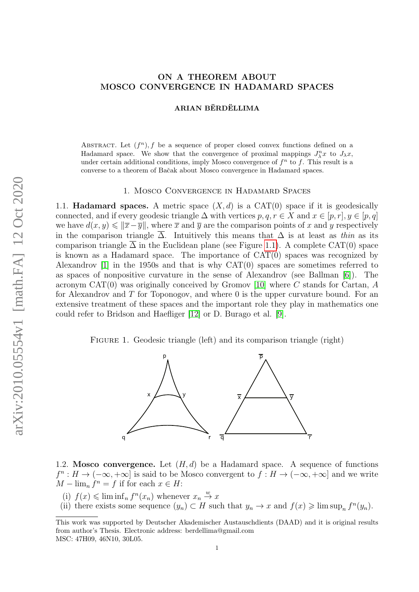# ON A THEOREM ABOUT MOSCO CONVERGENCE IN HADAMARD SPACES

### ARIAN BËRDËLLIMA

ABSTRACT. Let  $(f^n)$ , f be a sequence of proper closed convex functions defined on a Hadamard space. We show that the convergence of proximal mappings  $J_{\lambda}^{n}x$  to  $J_{\lambda}x$ , under certain additional conditions, imply Mosco convergence of  $f<sup>n</sup>$  to f. This result is a converse to a theorem of Baˇcak about Mosco convergence in Hadamard spaces.

#### 1. Mosco Convergence in Hadamard Spaces

<span id="page-0-0"></span>1.1. **Hadamard spaces.** A metric space  $(X, d)$  is a CAT(0) space if it is geodesically connected, and if every geodesic triangle  $\Delta$  with vertices  $p, q, r \in X$  and  $x \in [p, r], y \in [p, q]$ we have  $d(x, y) \leq \|\overline{x}-\overline{y}\|$ , where  $\overline{x}$  and  $\overline{y}$  are the comparison points of x and y respectively in the comparison triangle  $\overline{\Delta}$ . Intuitively this means that  $\Delta$  is at least as thin as its comparison triangle  $\overline{\Delta}$  in the Euclidean plane (see Figure [1.1\)](#page-0-0). A complete CAT(0) space is known as a Hadamard space. The importance of CAT(0) spaces was recognized by Alexandrov [\[1\]](#page-11-0) in the 1950s and that is why CAT(0) spaces are sometimes referred to as spaces of nonpositive curvature in the sense of Alexandrov (see Ballman [\[6\]](#page-11-1)). The acronym CAT $(0)$  was originally conceived by Gromov [\[10\]](#page-11-2) where C stands for Cartan, A for Alexandrov and  $T$  for Toponogov, and where  $0$  is the upper curvature bound. For an extensive treatment of these spaces and the important role they play in mathematics one could refer to Bridson and Haefliger [\[12\]](#page-11-3) or D. Burago et al. [\[9\]](#page-11-4).

FIGURE 1. Geodesic triangle (left) and its comparison triangle (right)



1.2. Mosco convergence. Let  $(H, d)$  be a Hadamard space. A sequence of functions  $f^{n}: H \to (-\infty, +\infty]$  is said to be Mosco convergent to  $f: H \to (-\infty, +\infty]$  and we write  $M - \lim_{n} f^{n} = f$  if for each  $x \in H$ :

<span id="page-0-1"></span>(i)  $f(x) \leq \liminf_n f^{n}(x_n)$  whenever  $x_n \stackrel{w}{\to} x$ 

<span id="page-0-2"></span>(ii) there exists some sequence  $(y_n) \subset H$  such that  $y_n \to x$  and  $f(x) \geq \limsup_n f^n(y_n)$ .

This work was supported by Deutscher Akademischer Austauschdients (DAAD) and it is original results from author's Thesis. Electronic address: berdellima@gmail.com MSC: 47H09, 46N10, 30L05.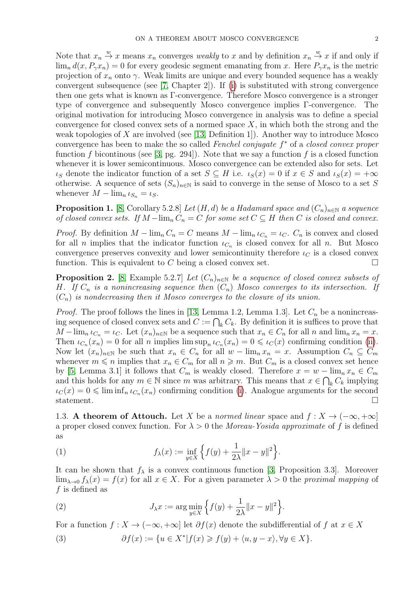Note that  $x_n \stackrel{w}{\to} x$  means  $x_n$  converges *weakly* to x and by definition  $x_n \stackrel{w}{\to} x$  if and only if  $\lim_{n} d(x, P_{\gamma}x_{n}) = 0$  for every geodesic segment emanating from x. Here  $P_{\gamma}x_{n}$  is the metric projection of  $x_n$  onto  $\gamma$ . Weak limits are unique and every bounded sequence has a weakly convergent subsequence (see  $(7, Chapter 2)$ ). If [\(i\)](#page-0-1) is substituted with strong convergence then one gets what is known as Γ-convergence. Therefore Mosco convergence is a stronger type of convergence and subsequently Mosco convergence implies Γ-convergence. The original motivation for introducing Mosco convergence in analysis was to define a special convergence for closed convex sets of a normed space  $X$ , in which both the strong and the weak topologies of  $X$  are involved (see [\[13,](#page-11-6) Definition 1]). Another way to introduce Mosco convergence has been to make the so called Fenchel conjugate  $f^*$  of a closed convex proper function f bicontinous (see [\[3,](#page-11-7) pg. 294]). Note that we say a function f is a closed function whenever it is lower semicontinuous. Mosco convergence can be extended also for sets. Let  $\iota_S$  denote the indicator function of a set  $S \subseteq H$  i.e.  $\iota_S(x) = 0$  if  $x \in S$  and  $\iota_S(x) = +\infty$ otherwise. A sequence of sets  $(S_n)_{n\in\mathbb{N}}$  is said to converge in the sense of Mosco to a set S whenever  $M - \lim_{n \to \infty} \iota_{S_n} = \iota_S$ .

**Proposition 1.** [\[8,](#page-11-8) Corollary 5.2.8] Let  $(H, d)$  be a Hadamard space and  $(C_n)_{n \in \mathbb{N}}$  a sequence of closed convex sets. If  $M-\lim_{n} C_n = C$  for some set  $C \subseteq H$  then C is closed and convex.

*Proof.* By definition  $M - \lim_{n} C_n = C$  means  $M - \lim_{n} \iota_{C_n} = \iota_C$ .  $C_n$  is convex and closed for all n implies that the indicator function  $\iota_{C_n}$  is closed convex for all n. But Mosco convergence preserves convexity and lower semicontinuity therefore  $\iota_C$  is a closed convex function. This is equivalent to  $C$  being a closed convex set.

**Proposition 2.** [\[8,](#page-11-8) Example 5.2.7] Let  $(C_n)_{n\in\mathbb{N}}$  be a sequence of closed convex subsets of H. If  $C_n$  is a nonincreasing sequence then  $(C_n)$  Mosco converges to its intersection. If  $(C_n)$  is nondecreasing then it Mosco converges to the closure of its union.

*Proof.* The proof follows the lines in [\[13,](#page-11-6) Lemma 1.2, Lemma 1.3]. Let  $C_n$  be a nonincreasing sequence of closed convex sets and  $C := \bigcap_k C_k$ . By definition it is suffices to prove that  $M-\lim_{n\to\infty}$   $\iota_{C_n} = \iota_C$ . Let  $(x_n)_{n\in\mathbb{N}}$  be a sequence such that  $x_n \in C_n$  for all n and  $\lim_{n\to\infty}$   $x_n = x$ . Then  $\iota_{C_n}(x_n) = 0$  for all n implies  $\limsup_n \iota_{C_n}(x_n) = 0 \leqslant \iota_C(x)$  confirming condition [\(ii\)](#page-0-2). Now let  $(x_n)_{n\in\mathbb{N}}$  be such that  $x_n \in C_n$  for all  $w-\lim_n x_n = x$ . Assumption  $C_n \subseteq C_m$ whenever  $m \leq n$  implies that  $x_n \in C_m$  for all  $n \geq m$ . But  $C_m$  is a closed convex set hence by [\[5,](#page-11-9) Lemma 3.1] it follows that  $C_m$  is weakly closed. Therefore  $x = w - \lim_n x_n \in C_m$ and this holds for any  $m \in \mathbb{N}$  since m was arbitrary. This means that  $x \in \bigcap_k C_k$  implying  $\iota_C(x) = 0 \leq \liminf_n \iota_{C_n}(x_n)$  confirming condition [\(i\)](#page-0-1). Analogue arguments for the second statement.

1.3. A theorem of Attouch. Let X be a normed linear space and  $f: X \to (-\infty, +\infty]$ a proper closed convex function. For  $\lambda > 0$  the Moreau-Yosida approximate of f is defined as

<span id="page-1-0"></span>(1) 
$$
f_{\lambda}(x) := \inf_{y \in X} \left\{ f(y) + \frac{1}{2\lambda} ||x - y||^2 \right\}.
$$

It can be shown that  $f_{\lambda}$  is a convex continuous function [\[3,](#page-11-7) Proposition 3.3]. Moreover  $\lim_{\lambda\to 0} f_{\lambda}(x) = f(x)$  for all  $x \in X$ . For a given parameter  $\lambda > 0$  the proximal mapping of f is defined as

<span id="page-1-1"></span>(2) 
$$
J_{\lambda} x := \arg \min_{y \in X} \left\{ f(y) + \frac{1}{2\lambda} \|x - y\|^2 \right\}.
$$

For a function  $f: X \to (-\infty, +\infty]$  let  $\partial f(x)$  denote the subdifferential of f at  $x \in X$ 

(3) 
$$
\partial f(x) := \{ u \in X^* | f(x) \geqslant f(y) + \langle u, y - x \rangle, \forall y \in X \}.
$$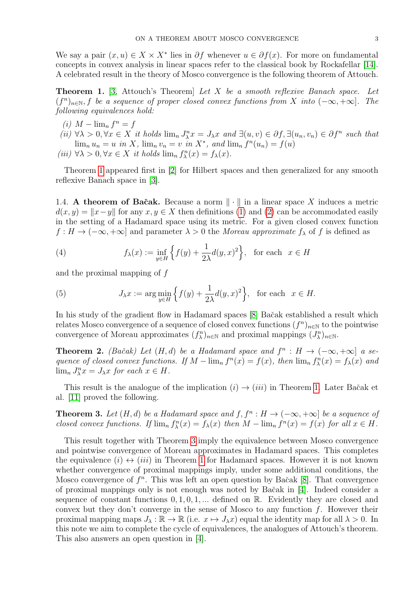We say a pair  $(x, u) \in X \times X^*$  lies in  $\partial f$  whenever  $u \in \partial f(x)$ . For more on fundamental concepts in convex analysis in linear spaces refer to the classical book by Rockafellar [\[14\]](#page-11-10). A celebrated result in the theory of Mosco convergence is the following theorem of Attouch.

<span id="page-2-0"></span>**Theorem 1.** [\[3,](#page-11-7) Attouch's Theorem] Let X be a smooth reflexive Banach space. Let  $(f^n)_{n\in\mathbb{N}}$ , f be a sequence of proper closed convex functions from X into  $(-\infty, +\infty]$ . The following equivalences hold:

- (i)  $M \lim_{n} f^{n} = f$
- (ii)  $\forall \lambda > 0, \forall x \in X$  it holds  $\lim_{n} J_{\lambda}^{n}x = J_{\lambda}x$  and  $\exists (u, v) \in \partial f, \exists (u_n, v_n) \in \partial f^n$  such that  $\lim_n u_n = u$  in X,  $\lim_n v_n = v$  in X<sup>\*</sup>, and  $\lim_n f^n(u_n) = f(u)$
- (iii)  $\forall \lambda > 0, \forall x \in X$  it holds  $\lim_{n} f_{\lambda}^{n}(x) = f_{\lambda}(x)$ .

Theorem [1](#page-2-0) appeared first in [\[2\]](#page-11-11) for Hilbert spaces and then generalized for any smooth reflexive Banach space in [\[3\]](#page-11-7).

1.4. A theorem of Bačak. Because a norm  $\|\cdot\|$  in a linear space X induces a metric  $d(x, y) = ||x-y||$  for any  $x, y \in X$  then definitions [\(1\)](#page-1-0) and [\(2\)](#page-1-1) can be accommodated easily in the setting of a Hadamard space using its metric. For a given closed convex function  $f: H \to (-\infty, +\infty]$  and parameter  $\lambda > 0$  the Moreau approximate  $f_{\lambda}$  of f is defined as

(4) 
$$
f_{\lambda}(x) := \inf_{y \in H} \left\{ f(y) + \frac{1}{2\lambda} d(y, x)^2 \right\}, \text{ for each } x \in H
$$

and the proximal mapping of f

(5) 
$$
J_{\lambda}x := \arg\min_{y\in H} \left\{ f(y) + \frac{1}{2\lambda} d(y,x)^2 \right\}, \text{ for each } x \in H.
$$

In his study of the gradient flow in Hadamard spaces [\[8\]](#page-11-8) Bačak established a result which relates Mosco convergence of a sequence of closed convex functions  $(f^n)_{n\in\mathbb{N}}$  to the pointwise convergence of Moreau approximates  $(f_{\lambda}^n)_{n\in\mathbb{N}}$  and proximal mappings  $(J_{\lambda}^n)_{n\in\mathbb{N}}$ .

<span id="page-2-2"></span>**Theorem 2.** (Bačak) Let  $(H,d)$  be a Hadamard space and  $f^n : H \to (-\infty, +\infty]$  a sequence of closed convex functions. If  $M - \lim_{n} f^{n}(x) = f(x)$ , then  $\lim_{n} f^{n}(x) = f_{\lambda}(x)$  and  $\lim_{n} J_{\lambda}^{n} x = J_{\lambda} x$  for each  $x \in H$ .

This result is the analogue of the implication  $(i) \rightarrow (iii)$  in Theorem [1.](#page-2-0) Later Bačak et al. [\[11\]](#page-11-12) proved the following.

<span id="page-2-1"></span>**Theorem 3.** Let  $(H, d)$  be a Hadamard space and  $f, f^n : H \to (-\infty, +\infty]$  be a sequence of closed convex functions. If  $\lim_n f^n_\lambda(x) = f_\lambda(x)$  then  $M - \lim_n f^n(x) = f(x)$  for all  $x \in H$ .

This result together with Theorem [3](#page-2-1) imply the equivalence between Mosco convergence and pointwise convergence of Moreau approximates in Hadamard spaces. This completes the equivalence  $(i) \leftrightarrow (iii)$  in Theorem [1](#page-2-0) for Hadamard spaces. However it is not known whether convergence of proximal mappings imply, under some additional conditions, the Mosco convergence of  $f^n$ . This was left an open question by Bačak [\[8\]](#page-11-8). That convergence of proximal mappings only is not enough was noted by Baˇcak in [\[4\]](#page-11-13). Indeed consider a sequence of constant functions  $0, 1, 0, 1, \ldots$  defined on R. Evidently they are closed and convex but they don't converge in the sense of Mosco to any function  $f$ . However their proximal mapping maps  $J_\lambda : \mathbb{R} \to \mathbb{R}$  (i.e.  $x \mapsto J_\lambda x$ ) equal the identity map for all  $\lambda > 0$ . In this note we aim to complete the cycle of equivalences, the analogues of Attouch's theorem. This also answers an open question in [\[4\]](#page-11-13).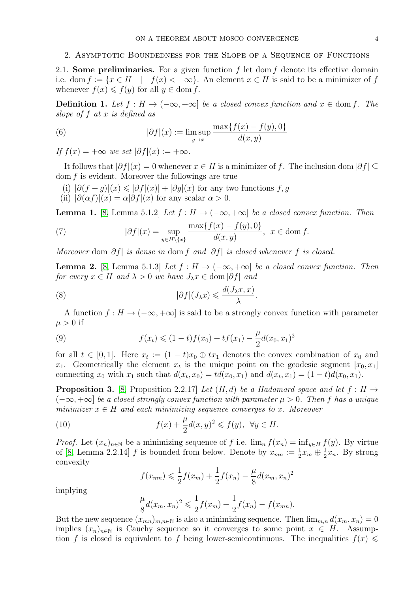### 2. Asymptotic Boundedness for the Slope of a Sequence of Functions

2.1. Some preliminaries. For a given function  $f$  let dom  $f$  denote its effective domain i.e. dom  $f := \{x \in H \mid f(x) < +\infty\}$ . An element  $x \in H$  is said to be a minimizer of f whenever  $f(x) \leq f(y)$  for all  $y \in \text{dom } f$ .

**Definition 1.** Let  $f : H → (-∞, +∞]$  be a closed convex function and  $x ∈ dom f$ . The slope of f at x is defined as

<span id="page-3-1"></span>(6) 
$$
|\partial f|(x) := \limsup_{y \to x} \frac{\max\{f(x) - f(y), 0\}}{d(x, y)}
$$

If  $f(x) = +\infty$  we set  $|\partial f|(x) := +\infty$ .

It follows that  $|\partial f|(x) = 0$  whenever  $x \in H$  is a minimizer of f. The inclusion dom  $|\partial f| \subset$  $dom f$  is evident. Moreover the followings are true

- (i)  $|\partial (f+q)|(x) \leq |\partial f|(x) + |\partial q|(x)$  for any two functions f, q
- (ii)  $|\partial(\alpha f)|(x) = \alpha |\partial f|(x)$  for any scalar  $\alpha > 0$ .

<span id="page-3-2"></span>**Lemma 1.** [\[8,](#page-11-8) Lemma 5.1.2] Let  $f : H \to (-\infty, +\infty]$  be a closed convex function. Then

(7) 
$$
|\partial f|(x) = \sup_{y \in H \setminus \{x\}} \frac{\max\{f(x) - f(y), 0\}}{d(x, y)}, \quad x \in \text{dom } f.
$$

Moreover dom  $|\partial f|$  is dense in dom f and  $|\partial f|$  is closed whenever f is closed.

<span id="page-3-4"></span>**Lemma 2.** [\[8,](#page-11-8) Lemma 5.1.3] Let  $f : H \to (-\infty, +\infty]$  be a closed convex function. Then for every  $x \in H$  and  $\lambda > 0$  we have  $J_{\lambda}x \in \text{dom} \, |\partial f|$  and

(8) 
$$
|\partial f|(J_\lambda x) \leqslant \frac{d(J_\lambda x, x)}{\lambda}.
$$

A function  $f : H \to (-\infty, +\infty]$  is said to be a strongly convex function with parameter  $\mu > 0$  if

(9) 
$$
f(x_t) \leq (1-t)f(x_0) + tf(x_1) - \frac{\mu}{2}d(x_0, x_1)^2
$$

for all  $t \in [0,1]$ . Here  $x_t := (1-t)x_0 \oplus tx_1$  denotes the convex combination of  $x_0$  and  $x_1$ . Geometrically the element  $x_t$  is the unique point on the geodesic segment  $[x_0, x_1]$ connecting  $x_0$  with  $x_1$  such that  $d(x_t, x_0) = td(x_0, x_1)$  and  $d(x_t, x_1) = (1 - t)d(x_0, x_1)$ .

<span id="page-3-3"></span>**Proposition 3.** [\[8,](#page-11-8) Proposition 2.2.17] Let  $(H, d)$  be a Hadamard space and let  $f : H \rightarrow$  $(-\infty, +\infty]$  be a closed strongly convex function with parameter  $\mu > 0$ . Then f has a unique minimizer  $x \in H$  and each minimizing sequence converges to x. Moreover

(10) 
$$
f(x) + \frac{\mu}{2}d(x,y)^2 \leqslant f(y), \ \forall y \in H.
$$

*Proof.* Let  $(x_n)_{n\in\mathbb{N}}$  be a minimizing sequence of f i.e.  $\lim_{n} f(x_n) = \inf_{y\in H} f(y)$ . By virtue of [\[8,](#page-11-8) Lemma 2.2.14]  $f$  is bounded from below. Denote by  $x_{mn} := \frac{1}{2}x_m \oplus \frac{1}{2}$  $\frac{1}{2}x_n$ . By strong convexity

<span id="page-3-0"></span>
$$
f(x_{mn}) \leq \frac{1}{2}f(x_m) + \frac{1}{2}f(x_n) - \frac{\mu}{8}d(x_m, x_n)^2
$$

implying

$$
\frac{\mu}{8}d(x_m, x_n)^2 \leq \frac{1}{2}f(x_m) + \frac{1}{2}f(x_n) - f(x_{mn}).
$$

But the new sequence  $(x_{mn})_{m,n\in\mathbb{N}}$  is also a minimizing sequence. Then  $\lim_{m,n} d(x_m, x_n) = 0$ implies  $(x_n)_{n\in\mathbb{N}}$  is Cauchy sequence so it converges to some point  $x \in H$ . Assumption f is closed is equivalent to f being lower-semicontinuous. The inequalities  $f(x) \leq$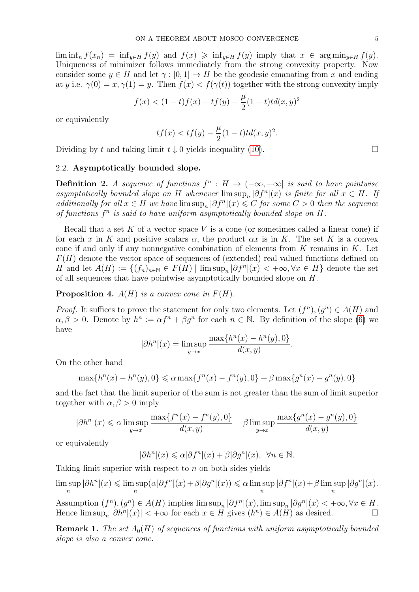$\liminf_{n} f(x_n) = \inf_{y \in H} f(y)$  and  $f(x) \geq \inf_{y \in H} f(y)$  imply that  $x \in \arg \min_{y \in H} f(y)$ . Uniqueness of minimizer follows immediately from the strong convexity property. Now consider some  $y \in H$  and let  $\gamma : [0, 1] \to H$  be the geodesic emanating from x and ending at y i.e.  $\gamma(0) = x, \gamma(1) = y$ . Then  $f(x) < f(\gamma(t))$  together with the strong convexity imply

$$
f(x) < (1-t)f(x) + tf(y) - \frac{\mu}{2}(1-t)td(x,y)^2
$$

or equivalently

$$
tf(x) < tf(y) - \frac{\mu}{2}(1-t)td(x, y)^2.
$$

Dividing by t and taking limit  $t \downarrow 0$  yields inequality [\(10\)](#page-3-0).

#### 2.2. Asymptotically bounded slope.

**Definition 2.** A sequence of functions  $f^n : H \to (-\infty, +\infty]$  is said to have pointwise asymptotically bounded slope on H whenever  $\limsup_n |\partial f^n|(x)$  is finite for all  $x \in H$ . If additionally for all  $x \in H$  we have  $\limsup_n |\partial f^n|(x) \leq C$  for some  $C > 0$  then the sequence of functions  $f^n$  is said to have uniform asymptotically bounded slope on  $H$ .

Recall that a set  $K$  of a vector space  $V$  is a cone (or sometimes called a linear cone) if for each x in K and positive scalars  $\alpha$ , the product  $\alpha x$  is in K. The set K is a convex cone if and only if any nonnegative combination of elements from  $K$  remains in  $K$ . Let  $F(H)$  denote the vector space of sequences of (extended) real valued functions defined on H and let  $A(H) := \{(f_n)_{n \in \mathbb{N}} \in F(H) \mid \limsup_n |\partial f^n|(x) < +\infty, \forall x \in H\}$  denote the set of all sequences that have pointwise asymptotically bounded slope on H.

## **Proposition 4.**  $A(H)$  is a convex cone in  $F(H)$ .

*Proof.* It suffices to prove the statement for only two elements. Let  $(f^n), (g^n) \in A(H)$  and  $\alpha, \beta > 0$ . Denote by  $h^n := \alpha f^n + \beta g^n$  for each  $n \in \mathbb{N}$ . By definition of the slope [\(6\)](#page-3-1) we have

$$
|\partial h^n|(x) = \limsup_{y \to x} \frac{\max\{h^n(x) - h^n(y), 0\}}{d(x, y)}
$$

.

On the other hand

$$
\max\{h^n(x) - h^n(y), 0\} \le \alpha \max\{f^n(x) - f^n(y), 0\} + \beta \max\{g^n(x) - g^n(y), 0\}
$$

and the fact that the limit superior of the sum is not greater than the sum of limit superior together with  $\alpha, \beta > 0$  imply

$$
|\partial h^n|(x)\leqslant \alpha \limsup\limits_{y\to x}\frac{\max\{f^n(x)-f^n(y),0\}}{d(x,y)}+\beta \limsup\limits_{y\to x}\frac{\max\{g^n(x)-g^n(y),0\}}{d(x,y)}
$$

or equivalently

$$
|\partial h^n|(x)\leqslant \alpha |\partial f^n|(x)+\beta |\partial g^n|(x),\ \ \forall n\in\mathbb{N}.
$$

Taking limit superior with respect to  $n$  on both sides yields

lim sup n  $|\partial h^n|(x) \leqslant \limsup$ n  $(\alpha|\partial f^n|(x)+\beta|\partial g^n|(x))\leq \alpha \limsup$ n  $|\partial f^n|(x)+\beta$  lim sup n  $|\partial g^n|(x)$ .

Assumption  $(f^n)$ ,  $(g^n) \in A(H)$  implies  $\limsup_n |\partial f^n|(x)$ ,  $\limsup_n |\partial g^n|(x) < +\infty, \forall x \in H$ . Hence  $\limsup_n |\partial h^n|(x)| < +\infty$  for each  $x \in H$  gives  $(h^n) \in A(H)$  as desired.

**Remark 1.** The set  $A_0(H)$  of sequences of functions with uniform asymptotically bounded slope is also a convex cone.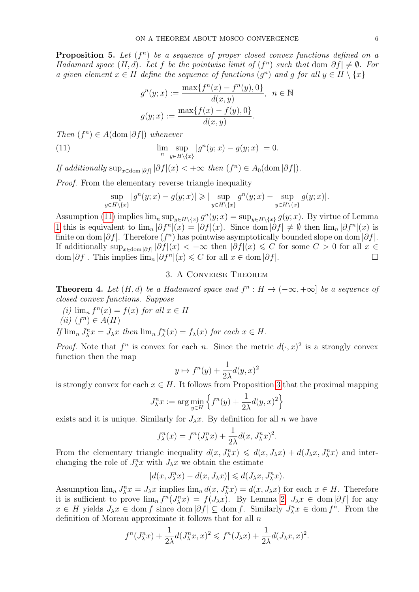**Proposition 5.** Let  $(f^n)$  be a sequence of proper closed convex functions defined on a Hadamard space  $(H, d)$ . Let f be the pointwise limit of  $(f^n)$  such that  $\text{dom} |\partial f| \neq \emptyset$ . For a given element  $x \in H$  define the sequence of functions  $(g^n)$  and g for all  $y \in H \setminus \{x\}$ 

<span id="page-5-0"></span>
$$
g^{n}(y; x) := \frac{\max\{f^{n}(x) - f^{n}(y), 0\}}{d(x, y)}, \ \ n \in \mathbb{N}
$$

$$
g(y; x) := \frac{\max\{f(x) - f(y), 0\}}{d(x, y)}.
$$

Then  $(f^n) \in A(\text{dom}|\partial f|)$  whenever

(11) 
$$
\lim_{n} \sup_{y \in H \setminus \{x\}} |g^{n}(y;x) - g(y;x)| = 0.
$$

If additionally  $\sup_{x \in \text{dom} |\partial f|} |\partial f|(x) < +\infty$  then  $(f^n) \in A_0(\text{dom} |\partial f|)$ .

Proof. From the elementary reverse triangle inequality

$$
\sup_{y \in H \setminus \{x\}} |g^n(y; x) - g(y; x)| \geqslant | \sup_{y \in H \setminus \{x\}} g^n(y; x) - \sup_{y \in H \setminus \{x\}} g(y; x)|.
$$

Assumption [\(11\)](#page-5-0) implies  $\lim_{n} \sup_{y \in H \setminus \{x\}} g^{n}(y;x) = \sup_{y \in H \setminus \{x\}} g(y;x)$ . By virtue of Lemma [1](#page-3-2) this is equivalent to  $\lim_{n} |\partial f^{n}|(x) = |\partial f|(x)$ . Since  $\dim |\partial f| \neq \emptyset$  then  $\lim_{n} |\partial f^{n}|(x)$  is finite on dom  $|\partial f|$ . Therefore  $(f^n)$  has pointwise asymptotically bounded slope on dom  $|\partial f|$ . If additionally  $\sup_{x \in \text{dom} |\partial f|}(x) < +\infty$  then  $|\partial f|(x) \leq C$  for some  $C > 0$  for all  $x \in$  $\text{dom } |\partial f|$ . This implies  $\lim_{n} |\partial f^{n}|(x) \leqslant C$  for all  $x \in \text{dom } |\partial f|$ .

# 3. A Converse Theorem

<span id="page-5-3"></span>**Theorem 4.** Let  $(H,d)$  be a Hadamard space and  $f^n : H \to (-\infty, +\infty]$  be a sequence of closed convex functions. Suppose

<span id="page-5-2"></span><span id="page-5-1"></span>(i)  $\lim_{n} f^{n}(x) = f(x)$  for all  $x \in H$ (*ii*)  $(f^n) \in A(H)$ 

If  $\lim_{n} J_{\lambda}^{n} x = J_{\lambda} x$  then  $\lim_{n} f_{\lambda}^{n}(x) = f_{\lambda}(x)$  for each  $x \in H$ .

*Proof.* Note that  $f^n$  is convex for each n. Since the metric  $d(\cdot, x)^2$  is a strongly convex function then the map

$$
y \mapsto f^n(y) + \frac{1}{2\lambda} d(y, x)^2
$$

is strongly convex for each  $x \in H$ . It follows from Proposition [3](#page-3-3) that the proximal mapping

$$
J_{\lambda}^{n} x := \arg\min_{y \in H} \left\{ f^{n}(y) + \frac{1}{2\lambda} d(y, x)^{2} \right\}
$$

exists and it is unique. Similarly for  $J_\lambda x$ . By definition for all n we have

$$
f_{\lambda}^{n}(x) = f^{n}(J_{\lambda}^{n}x) + \frac{1}{2\lambda}d(x, J_{\lambda}^{n}x)^{2}.
$$

From the elementary triangle inequality  $d(x, J_\lambda^nx) \leq d(x, J_\lambda x) + d(J_\lambda x, J_\lambda^nx)$  and interchanging the role of  $J_{\lambda}^{n}x$  with  $J_{\lambda}x$  we obtain the estimate

$$
|d(x, J_\lambda^nx)-d(x, J_\lambda x)|\leqslant d(J_\lambda x, J_\lambda^nx).
$$

Assumption  $\lim_{n} J_{\lambda}^{n}x = J_{\lambda}x$  implies  $\lim_{n} d(x, J_{\lambda}^{n}x) = d(x, J_{\lambda}x)$  for each  $x \in H$ . Therefore it is sufficient to prove  $\lim_n f^n(J_\lambda^n x) = f(J_\lambda x)$ . By Lemma [2,](#page-3-4)  $J_\lambda x \in \text{dom} |\partial f|$  for any  $x \in H$  yields  $J_\lambda x \in \text{dom } f$  since  $\text{dom } |\partial f| \subseteq \text{dom } f$ . Similarly  $J_\lambda^n x \in \text{dom } f^n$ . From the definition of Moreau approximate it follows that for all  $n$ 

$$
f^{n}(J_{\lambda}^{n}x) + \frac{1}{2\lambda}d(J_{\lambda}^{n}x, x)^{2} \leqslant f^{n}(J_{\lambda}x) + \frac{1}{2\lambda}d(J_{\lambda}x, x)^{2}.
$$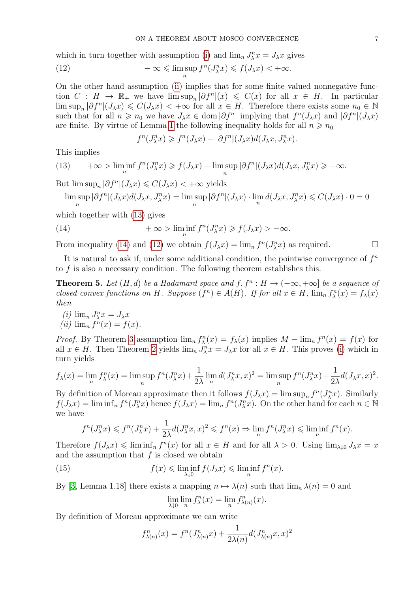which in turn together with assumption [\(i\)](#page-5-1) and  $\lim_{n} J_{\lambda}^{n} x = J_{\lambda} x$  gives

(12) 
$$
-\infty \leq \limsup_n f^n(J_\lambda^nx) \leq f(J_\lambda x) < +\infty.
$$

On the other hand assumption [\(ii\)](#page-5-2) implies that for some finite valued nonnegative function  $C : H \to \mathbb{R}_+$  we have  $\limsup_n |\partial f^n|(x) \leq C(x)$  for all  $x \in H$ . In particular  $\limsup_n |\partial f^n|(J_\lambda x) \leqslant C(J_\lambda x) < +\infty$  for all  $x \in H$ . Therefore there exists some  $n_0 \in \mathbb{N}$ such that for all  $n \geq n_0$  we have  $J_\lambda x \in \text{dom} |\partial f^n|$  implying that  $f^n(J_\lambda x)$  and  $|\partial f^n|(J_\lambda x)$ are finite. By virtue of Lemma [1](#page-3-2) the following inequality holds for all  $n \ge n_0$ 

<span id="page-6-2"></span>
$$
f^{n}(J_{\lambda}^{n} x) \geqslant f^{n}(J_{\lambda} x) - |\partial f^{n}|(J_{\lambda} x) d(J_{\lambda} x, J_{\lambda}^{n} x).
$$

This implies

<span id="page-6-0"></span>(13) 
$$
+\infty > \liminf_{n} f^{n}(J_{\lambda}^{n}x) \geq f(J_{\lambda}x) - \limsup_{n} |\partial f^{n}|(J_{\lambda}x)d(J_{\lambda}x, J_{\lambda}^{n}x) \geq -\infty.
$$

But  $\limsup_n |\partial f^n|(J_\lambda x) \leq C(J_\lambda x) < +\infty$  yields

<span id="page-6-1"></span>
$$
\limsup_n |\partial f^n|(J_\lambda x)d(J_\lambda x, J_\lambda^nx) = \limsup_n |\partial f^n|(J_\lambda x) \cdot \lim_n d(J_\lambda x, J_\lambda^nx) \leqslant C(J_\lambda x) \cdot 0 = 0
$$

which together with [\(13\)](#page-6-0) gives

(14) 
$$
+\infty > \liminf_{n} f^{n}(J_{\lambda}^{n}x) \geq f(J_{\lambda}x) > -\infty.
$$

From inequality [\(14\)](#page-6-1) and [\(12\)](#page-6-2) we obtain  $f(J_\lambda x) = \lim_n f^n(J_\lambda^n x)$  as required.

It is natural to ask if, under some additional condition, the pointwise convergence of  $f<sup>n</sup>$ to f is also a necessary condition. The following theorem establishes this.

<span id="page-6-5"></span>**Theorem 5.** Let  $(H, d)$  be a Hadamard space and  $f, f^n : H \to (-\infty, +\infty]$  be a sequence of closed convex functions on H. Suppose  $(f^n) \in A(H)$ . If for all  $x \in H$ ,  $\lim_n f^n_\lambda(x) = f_\lambda(x)$ then

<span id="page-6-6"></span><span id="page-6-3"></span>(*i*)  $\lim_{n} J_{\lambda}^{n} x = J_{\lambda} x$ (*ii*)  $\lim_{n} f^{n}(x) = f(x)$ .

*Proof.* By Theorem [3](#page-2-1) assumption  $\lim_{n} f_{\lambda}^{n}(x) = f_{\lambda}(x)$  implies  $M - \lim_{n} f^{n}(x) = f(x)$  for all  $x \in H$ . Then Theorem [2](#page-2-2) yields  $\lim_{n} J_{\lambda}^{n}x = J_{\lambda}x$  for all  $x \in H$ . This proves [\(i\)](#page-6-3) which in turn yields

$$
f_{\lambda}(x) = \lim_{n} f_{\lambda}^{n}(x) = \limsup_{n} f^{n}(J_{\lambda}^{n}x) + \frac{1}{2\lambda} \lim_{n} d(J_{\lambda}^{n}x, x)^{2} = \limsup_{n} f^{n}(J_{\lambda}^{n}x) + \frac{1}{2\lambda} d(J_{\lambda}x, x)^{2}.
$$

By definition of Moreau approximate then it follows  $f(J_\lambda x) = \limsup_n f^n(J_\lambda^n x)$ . Similarly  $f(J_\lambda x) = \liminf_n f^n(J_\lambda^n x)$  hence  $f(J_\lambda x) = \lim_n f^n(J_\lambda^n x)$ . On the other hand for each  $n \in \mathbb{N}$ we have

$$
f^{n}(J_{\lambda}^{n}x) \leqslant f^{n}(J_{\lambda}^{n}x) + \frac{1}{2\lambda}d(J_{\lambda}^{n}x, x)^{2} \leqslant f^{n}(x) \Rightarrow \lim_{n} f^{n}(J_{\lambda}^{n}x) \leqslant \liminf_{n} f^{n}(x).
$$

Therefore  $f(J_\lambda x) \leqslant \liminf_n f^n(x)$  for all  $x \in H$  and for all  $\lambda > 0$ . Using  $\lim_{\lambda \downarrow 0} J_\lambda x = x$ and the assumption that  $f$  is closed we obtain

(15) 
$$
f(x) \leq \liminf_{\lambda \downarrow 0} f(J_{\lambda}x) \leq \liminf_{n} f^{n}(x).
$$

By [\[3,](#page-11-7) Lemma 1.18] there exists a mapping  $n \mapsto \lambda(n)$  such that  $\lim_{n} \lambda(n) = 0$  and

<span id="page-6-4"></span>
$$
\lim_{\lambda \downarrow 0} \lim_{n} f_{\lambda}^{n}(x) = \lim_{n} f_{\lambda(n)}^{n}(x).
$$

By definition of Moreau approximate we can write

$$
f_{\lambda(n)}^n(x) = f^n(J_{\lambda(n)}^n x) + \frac{1}{2\lambda(n)} d(J_{\lambda(n)}^n x, x)^2
$$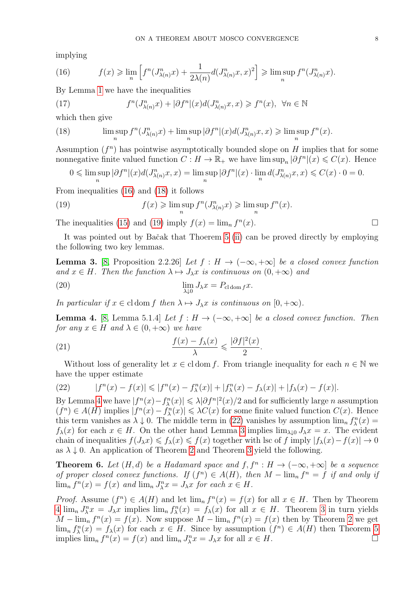implying

<span id="page-7-0"></span>(16) 
$$
f(x) \geq \lim_{n} \left[ f^{n}(J^{n}_{\lambda(n)}x) + \frac{1}{2\lambda(n)}d(J^{n}_{\lambda(n)}x, x)^{2} \right] \geq \limsup_{n} f^{n}(J^{n}_{\lambda(n)}x).
$$

By Lemma [1](#page-3-2) we have the inequalities

(17) 
$$
f^{n}(J_{\lambda(n)}^{n}x) + |\partial f^{n}|(x)d(J_{\lambda(n)}^{n}x, x) \geq f^{n}(x), \ \forall n \in \mathbb{N}
$$

which then give

<span id="page-7-1"></span>(18) 
$$
\limsup_{n} f^{n}(J^{n}_{\lambda(n)}x) + \limsup_{n} |\partial f^{n}|(x) d(J^{n}_{\lambda(n)}x, x) \geq \limsup_{n} f^{n}(x).
$$

Assumption  $(f^n)$  has pointwise asymptotically bounded slope on H implies that for some nonnegative finite valued function  $C: H \to \mathbb{R}_+$  we have  $\limsup_n |\partial f^n|(x) \leqslant C(x)$ . Hence

<span id="page-7-2"></span>
$$
0\leqslant \limsup_n|\partial f^n|(x)d(J_{\lambda(n)}^nx,x)=\limsup_n|\partial f^n|(x)\cdot \lim_n d(J_{\lambda(n)}^nx,x)\leqslant C(x)\cdot 0=0.
$$

From inequalities [\(16\)](#page-7-0) and [\(18\)](#page-7-1) it follows

(19) 
$$
f(x) \geq \limsup_{n} f^{n}(J^{n}_{\lambda(n)} x) \geq \limsup_{n} f^{n}(x).
$$

The inequalities [\(15\)](#page-6-4) and [\(19\)](#page-7-2) imply  $f(x) = \lim_{n} f^{n}$  $(x).$ 

It was pointed out by Baˇcak that Thoerem [5](#page-6-5) [\(ii\)](#page-6-6) can be proved directly by employing the following two key lemmas.

<span id="page-7-5"></span>**Lemma 3.** [\[8,](#page-11-8) Proposition 2.2.26] Let  $f : H \to (-\infty, +\infty]$  be a closed convex function and  $x \in H$ . Then the function  $\lambda \mapsto J_{\lambda}x$  is continuous on  $(0, +\infty)$  and

(20) 
$$
\lim_{\lambda \downarrow 0} J_{\lambda} x = P_{\text{cl} \text{ dom } f} x.
$$

In particular if  $x \in \text{cl} \text{ dom } f$  then  $\lambda \mapsto J_{\lambda}x$  is continuous on  $[0, +\infty)$ .

<span id="page-7-3"></span>**Lemma 4.** [\[8,](#page-11-8) Lemma 5.1.4] Let  $f : H \to (-\infty, +\infty]$  be a closed convex function. Then for any  $x \in H$  and  $\lambda \in (0, +\infty)$  we have

(21) 
$$
\frac{f(x) - f_{\lambda}(x)}{\lambda} \leq \frac{|\partial f|^2(x)}{2}.
$$

Without loss of generality let  $x \in \text{cl} \text{ dom } f$ . From triangle inequality for each  $n \in \mathbb{N}$  we have the upper estimate

<span id="page-7-4"></span>(22) 
$$
|f^{n}(x) - f(x)| \leq |f^{n}(x) - f_{\lambda}^{n}(x)| + |f_{\lambda}^{n}(x) - f_{\lambda}(x)| + |f_{\lambda}(x) - f(x)|.
$$

By Lemma [4](#page-7-3) we have  $|f^n(x) - f^n(x)| \leq \lambda |\partial f^n|^2(x)/2$  and for sufficiently large *n* assumption  $(f^n) \in A(H)$  implies  $|f^n(x) - f^n_{\lambda}(x)| \leq \lambda C(x)$  for some finite valued function  $C(x)$ . Hence this term vanishes as  $\lambda \downarrow 0$ . The middle term in [\(22\)](#page-7-4) vanishes by assumption  $\lim_{n} f_{\lambda}^{n}(x) =$  $f_{\lambda}(x)$  for each  $x \in H$ . On the other hand Lemma [3](#page-7-5) implies  $\lim_{\lambda \downarrow 0} J_{\lambda} x = x$ . The evident chain of inequalities  $f(J_\lambda x) \leq f_\lambda(x) \leq f(x)$  together with lsc of f imply  $|f_\lambda(x) - f(x)| \to 0$ as  $\lambda \downarrow 0$ . An application of Theorem [2](#page-2-2) and Theorem [3](#page-2-1) yield the following.

**Theorem 6.** Let  $(H, d)$  be a Hadamard space and  $f, f^n : H \to (-\infty, +\infty]$  be a sequence of proper closed convex functions. If  $(f^n) \in A(H)$ , then  $M - \lim_{n} f^n = f$  if and only if  $\lim_{n} f^{n}(x) = f(x)$  and  $\lim_{n} J_{\lambda}^{n} x = J_{\lambda} x$  for each  $x \in H$ .

*Proof.* Assume  $(f^n) \in A(H)$  and let  $\lim_n f^n(x) = f(x)$  for all  $x \in H$ . Then by Theorem [4](#page-5-3)  $\lim_{n} J_{\lambda}^{n}x = J_{\lambda}x$  implies  $\lim_{n} f_{\lambda}^{n}(x) = f_{\lambda}(x)$  for all  $x \in H$ . Theorem [3](#page-2-1) in turn yields  $M - \lim_{n} f^{n}(x) = f(x)$ . Now suppose  $M - \lim_{n} f^{n}(x) = f(x)$  then by Theorem [2](#page-2-2) we get  $\lim_{n} f_{\lambda}^{n}(x) = f_{\lambda}(x)$  for each  $x \in H$ . Since by assumption  $(f^{n}) \in A(H)$  then Theorem [5](#page-6-5) implies  $\lim_{n} f^{n}(x) = f(x)$  and  $\lim_{n} J_{\lambda}^{n}x = J_{\lambda}x$  for all  $x \in H$ .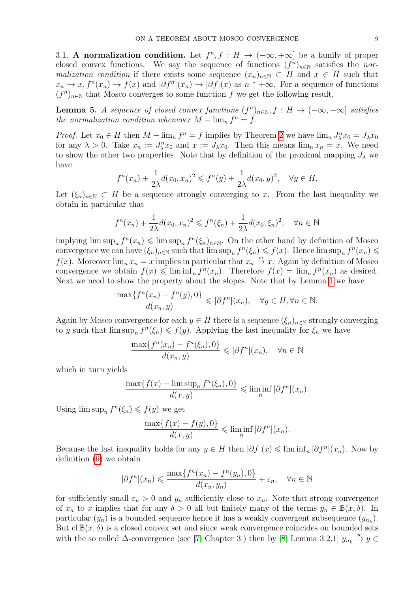3.1. A normalization condition. Let  $f^n, f : H \to (-\infty, +\infty]$  be a family of proper closed convex functions. We say the sequence of functions  $(f^n)_{n\in\mathbb{N}}$  satisfies the normalization condition if there exists some sequence  $(x_n)_{n\in\mathbb{N}}\subset H$  and  $x\in H$  such that  $x_n \to x$ ,  $f^n(x_n) \to f(x)$  and  $|\partial f^n|(x_n) \to |\partial f|(x)$  as  $n \uparrow +\infty$ . For a sequence of functions  $(f^n)_{n\in\mathbb{N}}$  that Mosco converges to some function f we get the following result.

**Lemma 5.** A sequence of closed convex functions  $(f^n)_{n \in \mathbb{N}}$ ,  $f : H \to (-\infty, +\infty]$  satisfies the normalization condition whenever  $M - \lim_{n} f^{n} = f$ .

*Proof.* Let  $x_0 \in H$  then  $M - \lim_n f^n = f$  implies by Theorem [2](#page-2-2) we have  $\lim_n J_\lambda^n x_0 = J_\lambda x_0$ for any  $\lambda > 0$ . Take  $x_n := J_{\lambda}^n x_0$  and  $x := J_{\lambda} x_0$ . Then this means  $\lim_n x_n = x$ . We need to show the other two properties. Note that by definition of the proximal mapping  $J_{\lambda}$  we have

$$
f^{n}(x_{n}) + \frac{1}{2\lambda}d(x_{0},x_{n})^{2} \leqslant f^{n}(y) + \frac{1}{2\lambda}d(x_{0},y)^{2}, \quad \forall y \in H.
$$

Let  $(\xi_n)_{n\in\mathbb{N}}\subset H$  be a sequence strongly converging to x. From the last inequality we obtain in particular that

$$
f^{n}(x_{n}) + \frac{1}{2\lambda}d(x_{0},x_{n})^{2} \leqslant f^{n}(\xi_{n}) + \frac{1}{2\lambda}d(x_{0},\xi_{n})^{2}, \quad \forall n \in \mathbb{N}
$$

implying  $\limsup_n f^n(x_n) \leq \limsup_n f^n(\xi_n)_{n \in \mathbb{N}}$ . On the other hand by definition of Mosco convergence we can have  $(\xi_n)_{n\in\mathbb{N}}$  such that  $\limsup_n f^n(\xi_n) \leqslant f(x)$ . Hence  $\limsup_n f^n(x_n) \leqslant$  $f(x)$ . Moreover  $\lim_{n} x_n = x$  implies in particular that  $x_n \stackrel{w}{\to} x$ . Again by definition of Mosco convergence we obtain  $f(x) \leq \liminf_n f^n(x_n)$ . Therefore  $f(x) = \lim_n f^n(x_n)$  as desired. Next we need to show the property about the slopes. Note that by Lemma [1](#page-3-2) we have

$$
\frac{\max\{f^n(x_n) - f^n(y), 0\}}{d(x_n, y)} \leqslant |\partial f^n|(x_n), \quad \forall y \in H, \forall n \in \mathbb{N}.
$$

Again by Mosco convergence for each  $y \in H$  there is a sequence  $(\xi_n)_{n \in \mathbb{N}}$  strongly converging to y such that  $\limsup_{n} f^{n}(\xi_{n}) \leqslant f(y)$ . Applying the last inequality for  $\xi_{n}$  we have

$$
\frac{\max\{f^n(x_n) - f^n(\xi_n), 0\}}{d(x_n, y)} \leqslant |\partial f^n|(x_n), \quad \forall n \in \mathbb{N}
$$

which in turn yields

$$
\frac{\max\{f(x) - \limsup_n f^n(\xi_n), 0\}}{d(x, y)} \leq \liminf_n |\partial f^n|(x_n).
$$

Using  $\limsup_n f^n(\xi_n) \leq f(y)$  we get

$$
\frac{\max\{f(x) - f(y), 0\}}{d(x, y)} \leq \liminf_{n} |\partial f^{n}|(x_{n}).
$$

Because the last inequality holds for any  $y \in H$  then  $|\partial f|(x) \leq \liminf_{n} |\partial f^{n}|(x_n)$ . Now by definition [\(6\)](#page-3-1) we obtain

$$
|\partial f^n|(x_n) \leq \frac{\max\{f^n(x_n) - f^n(y_n), 0\}}{d(x_n, y_n)} + \varepsilon_n, \quad \forall n \in \mathbb{N}
$$

for sufficiently small  $\varepsilon_n > 0$  and  $y_n$  sufficiently close to  $x_n$ . Note that strong convergence of  $x_n$  to x implies that for any  $\delta > 0$  all but finitely many of the terms  $y_n \in \mathbb{B}(x, \delta)$ . In particular  $(y_n)$  is a bounded sequence hence it has a weakly convergent subsequence  $(y_{n_k})$ . But  $cl \mathbb{B}(x, \delta)$  is a closed convex set and since weak convergence coincides on bounded sets with the so called  $\Delta$ -convergence (see [\[7,](#page-11-5) Chapter 3]) then by [\[8,](#page-11-8) Lemma 3.2.1]  $y_{n_k} \stackrel{w}{\rightarrow} y \in$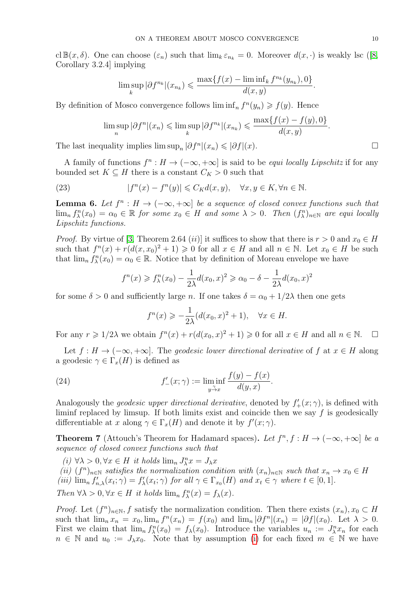cl $\mathbb{B}(x,\delta)$ . One can choose  $(\varepsilon_n)$  such that  $\lim_k \varepsilon_{n_k} = 0$ . Moreover  $d(x,\cdot)$  is weakly lsc ([\[8,](#page-11-8) Corollary 3.2.4] implying

$$
\limsup_{k} |\partial f^{n_k}|(x_{n_k}) \leq \frac{\max\{f(x) - \liminf_{k} f^{n_k}(y_{n_k}), 0\}}{d(x, y)}.
$$

By definition of Mosco convergence follows  $\liminf_n f^{(y_n)} \geq f(y)$ . Hence

$$
\limsup_{n} |\partial f^{n}|(x_{n}) \leq \limsup_{k} |\partial f^{n_{k}}|(x_{n_{k}}) \leq \frac{\max\{f(x) - f(y), 0\}}{d(x, y)}.
$$

The last inequality implies  $\limsup_n |\partial f^n|(x_n) \leq \left|\partial f\right|(x)$ .

A family of functions  $f^n : H \to (-\infty, +\infty]$  is said to be *equi locally Lipschitz* if for any bounded set  $K \subseteq H$  there is a constant  $C_K > 0$  such that

(23) 
$$
|f^{n}(x) - f^{n}(y)| \leq C_{K}d(x, y), \quad \forall x, y \in K, \forall n \in \mathbb{N}.
$$

<span id="page-9-1"></span>**Lemma 6.** Let  $f^n : H \to (-\infty, +\infty]$  be a sequence of closed convex functions such that  $\lim_{n} f_{\lambda}^{n}(x_0) = \alpha_0 \in \mathbb{R}$  for some  $x_0 \in H$  and some  $\lambda > 0$ . Then  $(f_{\lambda}^{n})_{n \in \mathbb{N}}$  are equi locally Lipschitz functions.

*Proof.* By virtue of [\[3,](#page-11-7) Theorem 2.64 *(ii)*] it suffices to show that there is  $r > 0$  and  $x_0 \in H$ such that  $f^{n}(x) + r(d(x, x_0)^2 + 1) \geq 0$  for all  $x \in H$  and all  $n \in \mathbb{N}$ . Let  $x_0 \in H$  be such that  $\lim_{n} f_{\lambda}^{n}(x_0) = \alpha_0 \in \mathbb{R}$ . Notice that by definition of Moreau envelope we have

$$
f^{n}(x) \ge f_{\lambda}^{n}(x_0) - \frac{1}{2\lambda}d(x_0, x)^{2} \ge \alpha_0 - \delta - \frac{1}{2\lambda}d(x_0, x)^{2}
$$

for some  $\delta > 0$  and sufficiently large n. If one takes  $\delta = \alpha_0 + 1/2\lambda$  then one gets

$$
f^{n}(x) \geqslant -\frac{1}{2\lambda} (d(x_0, x)^{2} + 1), \quad \forall x \in H.
$$

For any  $r \geq 1/2\lambda$  we obtain  $f^{n}(x) + r(d(x_0, x)^2 + 1) \geq 0$  for all  $x \in H$  and all  $n \in \mathbb{N}$ .  $\Box$ 

Let  $f : H \to (-\infty, +\infty]$ . The geodesic lower directional derivative of f at  $x \in H$  along a geodesic  $\gamma \in \Gamma_x(H)$  is defined as

.

(24) 
$$
f'_{-}(x; \gamma) := \liminf_{y \to x} \frac{f(y) - f(x)}{d(y, x)}
$$

Analogously the *geodesic upper directional derivative*, denoted by  $f'_{+}(x; \gamma)$ , is defined with liminf replaced by limsup. If both limits exist and coincide then we say  $f$  is geodesically differentiable at x along  $\gamma \in \Gamma_x(H)$  and denote it by  $f'(x; \gamma)$ .

**Theorem 7** (Attouch's Theorem for Hadamard spaces). Let  $f^n, f : H \to (-\infty, +\infty]$  be a sequence of closed convex functions such that

<span id="page-9-0"></span>(i)  $\forall \lambda > 0, \forall x \in H$  it holds  $\lim_{n} J_{\lambda}^{n} x = J_{\lambda} x$ 

<span id="page-9-2"></span>(ii)  $(f^n)_{n\in\mathbb{N}}$  satisfies the normalization condition with  $(x_n)_{n\in\mathbb{N}}$  such that  $x_n \to x_0 \in H$ (iii)  $\lim_{n} f'_{n,\lambda}(x_t; \gamma) = f'_{\lambda}(x_t; \gamma)$  for all  $\gamma \in \Gamma_{x_0}(H)$  and  $x_t \in \gamma$  where  $t \in [0,1]$ . Then  $\forall \lambda > 0, \forall x \in H$  it holds  $\lim_{n} f_{\lambda}^{n}(x) = f_{\lambda}(x)$ .

*Proof.* Let  $(f^n)_{n\in\mathbb{N}}$ , f satisfy the normalization condition. Then there exists  $(x_n)$ ,  $x_0 \subset H$ such that  $\lim_{n} x_n = x_0$ ,  $\lim_{n} f^{n}(x_n) = f(x_0)$  and  $\lim_{n} |\partial f^{n}(x_n)| = |\partial f|(x_0)$ . Let  $\lambda > 0$ . First we claim that  $\lim_n f^n_\lambda(x_0) = f_\lambda(x_0)$ . Introduce the variables  $u_n := J^n_\lambda x_n$  for each  $n \in \mathbb{N}$  and  $u_0 := J_\lambda x_0$ . Note that by assumption [\(i\)](#page-9-0) for each fixed  $m \in \mathbb{N}$  we have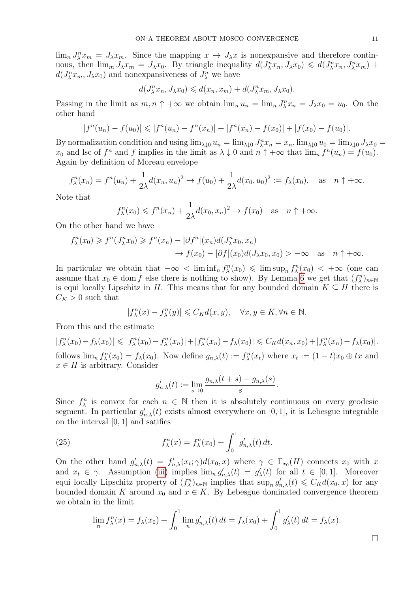$\lim_{n} J_{\lambda}^{n} x_{m} = J_{\lambda} x_{m}$ . Since the mapping  $x \mapsto J_{\lambda} x$  is nonexpansive and therefore continuous, then  $\lim_m J_\lambda x_m = J_\lambda x_0$ . By triangle inequality  $d(J_\lambda^nx_n, J_\lambda x_0) \leq d(J_\lambda^nx_n, J_\lambda^nx_m) +$  $d(J_{\lambda}^n x_m, J_{\lambda} x_0)$  and nonexpansiveness of  $J_{\lambda}^n$  we have

$$
d(J_\lambda^nx_n, J_\lambda x_0) \leqslant d(x_n, x_m) + d(J_\lambda^nx_m, J_\lambda x_0).
$$

Passing in the limit as  $m, n \uparrow +\infty$  we obtain  $\lim_n u_n = \lim_n J_\lambda^n x_n = J_\lambda x_0 = u_0$ . On the other hand

$$
|f^{n}(u_{n}) - f(u_{0})| \leq |f^{n}(u_{n}) - f^{n}(x_{n})| + |f^{n}(x_{n}) - f(x_{0})| + |f(x_{0}) - f(u_{0})|.
$$

By normalization condition and using  $\lim_{\lambda\downarrow 0} u_n = \lim_{\lambda\downarrow 0} J_\lambda^n x_n = x_n$ ,  $\lim_{\lambda\downarrow 0} u_0 = \lim_{\lambda\downarrow 0} J_\lambda x_0 =$  $x_0$  and lsc of  $f^n$  and f implies in the limit as  $\lambda \downarrow 0$  and  $n \uparrow +\infty$  that  $\lim_n f^n(u_n) = f(u_0)$ . Again by definition of Moreau envelope

$$
f_{\lambda}^{n}(x_{n}) = f^{n}(u_{n}) + \frac{1}{2\lambda}d(x_{n}, u_{n})^{2} \to f(u_{0}) + \frac{1}{2\lambda}d(x_{0}, u_{0})^{2} := f_{\lambda}(x_{0}), \text{ as } n \uparrow +\infty.
$$

Note that

$$
f_{\lambda}^{n}(x_0) \leq f^{n}(x_n) + \frac{1}{2\lambda}d(x_0, x_n)^2 \to f(x_0)
$$
 as  $n \uparrow +\infty$ .

On the other hand we have

$$
f_{\lambda}^{n}(x_{0}) \geq f^{n}(J_{\lambda}^{n}x_{0}) \geq f^{n}(x_{n}) - |\partial f^{n}|(x_{n})d(J_{\lambda}^{n}x_{0}, x_{n})
$$
  

$$
\rightarrow f(x_{0}) - |\partial f|(x_{0})d(J_{\lambda}x_{0}, x_{0}) > -\infty \text{ as } n \uparrow +\infty.
$$

In particular we obtain that  $-\infty < \liminf_n f^n_\lambda(x_0) \leq \limsup_n f^n_\lambda(x_0) < +\infty$  (one can assume that  $x_0 \in \text{dom } f$  else there is nothing to show). By Lemma [6](#page-9-1) we get that  $(f_{\lambda}^n)_{n \in \mathbb{N}}$ is equi locally Lipschitz in H. This means that for any bounded domain  $K \subseteq H$  there is  $C_K > 0$  such that

$$
|f_{\lambda}^{n}(x) - f_{\lambda}^{n}(y)| \leqslant C_{K}d(x, y), \quad \forall x, y \in K, \forall n \in \mathbb{N}.
$$

From this and the estimate

 $|f_{\lambda}^{n}(x_{0})-f_{\lambda}(x_{0})| \leq |f_{\lambda}^{n}(x_{0})-f_{\lambda}^{n}(x_{n})|+|f_{\lambda}^{n}(x_{n})-f_{\lambda}(x_{0})| \leq C_{K}d(x_{n},x_{0})+|f_{\lambda}^{n}(x_{n})-f_{\lambda}(x_{0})|.$ follows  $\lim_n f_\lambda^n(x_0) = f_\lambda(x_0)$ . Now define  $g_{n,\lambda}(t) := f_\lambda^n(x_t)$  where  $x_t := (1-t)x_0 \oplus tx$  and  $x \in H$  is arbitrary. Consider

$$
g'_{n,\lambda}(t) := \lim_{s \to 0} \frac{g_{n,\lambda}(t+s) - g_{n,\lambda}(s)}{s}.
$$

Since  $f_{\lambda}^{n}$  is convex for each  $n \in \mathbb{N}$  then it is absolutely continuous on every geodesic segment. In particular  $g'_{n,\lambda}(t)$  exists almost everywhere on [0, 1], it is Lebesgue integrable on the interval [0, 1] and satifies

(25) 
$$
f_{\lambda}^n(x) = f_{\lambda}^n(x_0) + \int_0^1 g'_{n,\lambda}(t) dt.
$$

On the other hand  $g'_{n,\lambda}(t) = f'_{n,\lambda}(x_t; \gamma) d(x_0, x)$  where  $\gamma \in \Gamma_{x_0}(H)$  connects  $x_0$  with x and  $x_t \in \gamma$ . Assumption [\(iii\)](#page-9-2) implies  $\lim_{n} g'_{n,\lambda}(t) = g'_{\lambda}(t)$  for all  $t \in [0,1]$ . Moreover equi locally Lipschitz property of  $(f_{\lambda}^n)_{n\in\mathbb{N}}$  implies that  $\sup_n g'_{n,\lambda}(t) \leq C_K d(x_0, x)$  for any bounded domain K around  $x_0$  and  $x \in K$ . By Lebesgue dominated convergence theorem we obtain in the limit

$$
\lim_{n} f_{\lambda}^{n}(x) = f_{\lambda}(x_{0}) + \int_{0}^{1} \lim_{n} g'_{n,\lambda}(t) dt = f_{\lambda}(x_{0}) + \int_{0}^{1} g'_{\lambda}(t) dt = f_{\lambda}(x).
$$

 $\Box$